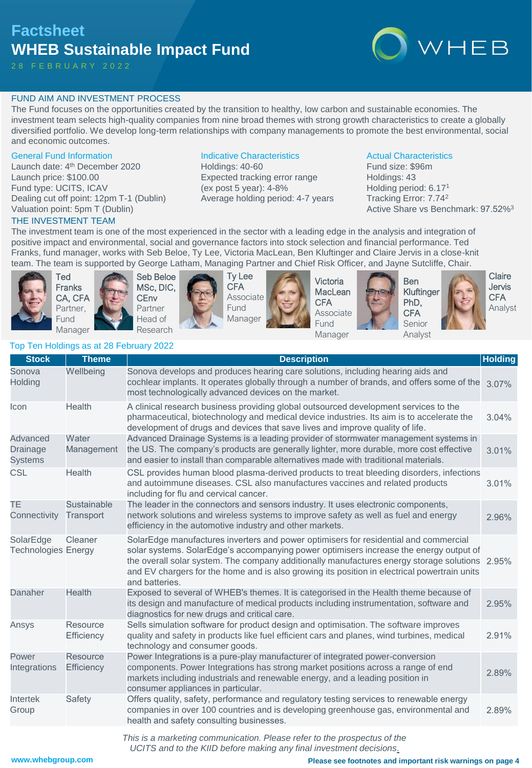# **Factsheet WHEB Sustainable Impact Fund**

2 8 F E B R U A R Y 2 0 2 2



### FUND AIM AND INVESTMENT PROCESS

The Fund focuses on the opportunities created by the transition to healthy, low carbon and sustainable economies. The investment team selects high-quality companies from nine broad themes with strong growth characteristics to create a globally diversified portfolio. We develop long-term relationships with company managements to promote the best environmental, social and economic outcomes.

#### General Fund Information

Launch date: 4<sup>th</sup> December 2020 Launch price: \$100.00 Fund type: UCITS, ICAV Dealing cut off point: 12pm T-1 (Dublin) Valuation point: 5pm T (Dublin)

Top Ten Holdings as at 28 February 2022

#### THE INVESTMENT TEAM

Indicative Characteristics

Holdings: 40-60 Expected tracking error range (ex post 5 year): 4-8% Average holding period: 4-7 years

#### Actual Characteristics

Fund size: \$96m Holdings: 43 Holding period: 6.17<sup>1</sup> Tracking Error: 7.74<sup>2</sup> Active Share vs Benchmark: 97.52%<sup>3</sup>

The investment team is one of the most experienced in the sector with a leading edge in the analysis and integration of positive impact and environmental, social and governance factors into stock selection and financial performance. Ted Franks, fund manager, works with Seb Beloe, Ty Lee, Victoria MacLean, Ben Kluftinger and Claire Jervis in a close-knit team. The team is supported by George Latham, Managing Partner and Chief Risk Officer, and Jayne Sutcliffe, Chair.



Sonova **Holding** 

Intertek Group

Ted Franks CA, CFA Partner, Fund Manager





Ty Lee CFA Associate Fund Manager



**Stock Theme Description Holding**

Wellbeing Sonova develops and produces hearing care solutions, including hearing aids and

Victoria **MacLean CFA** Associate Fund Manager





**Claire** Jervis **CFA** Analyst

3.07%

3.04%

3.01%

3.01%

2.96%

2.95%

2.95%

2.91%

2.89%

| Holding                                 |                          | cochlear implants. It operates globally through a number of brands, and offers some of the<br>most technologically advanced devices on the market.                                                                                                                                                                                                                                           |
|-----------------------------------------|--------------------------|----------------------------------------------------------------------------------------------------------------------------------------------------------------------------------------------------------------------------------------------------------------------------------------------------------------------------------------------------------------------------------------------|
| Icon                                    | Health                   | A clinical research business providing global outsourced development services to the<br>pharmaceutical, biotechnology and medical device industries. Its aim is to accelerate the<br>development of drugs and devices that save lives and improve quality of life.                                                                                                                           |
| Advanced<br>Drainage<br><b>Systems</b>  | Water<br>Management      | Advanced Drainage Systems is a leading provider of stormwater management systems in<br>the US. The company's products are generally lighter, more durable, more cost effective<br>and easier to install than comparable alternatives made with traditional materials.                                                                                                                        |
| <b>CSL</b>                              | Health                   | CSL provides human blood plasma-derived products to treat bleeding disorders, infections<br>and autoimmune diseases. CSL also manufactures vaccines and related products<br>including for flu and cervical cancer.                                                                                                                                                                           |
| TE<br>Connectivity                      | Sustainable<br>Transport | The leader in the connectors and sensors industry. It uses electronic components,<br>network solutions and wireless systems to improve safety as well as fuel and energy<br>efficiency in the automotive industry and other markets.                                                                                                                                                         |
| SolarEdge<br><b>Technologies Energy</b> | Cleaner                  | SolarEdge manufactures inverters and power optimisers for residential and commercial<br>solar systems. SolarEdge's accompanying power optimisers increase the energy output of<br>the overall solar system. The company additionally manufactures energy storage solutions<br>and EV chargers for the home and is also growing its position in electrical powertrain units<br>and batteries. |
| Danaher                                 | Health                   | Exposed to several of WHEB's themes. It is categorised in the Health theme because of<br>its design and manufacture of medical products including instrumentation, software and<br>diagnostics for new drugs and critical care.                                                                                                                                                              |
| Ansys                                   | Resource<br>Efficiency   | Sells simulation software for product design and optimisation. The software improves<br>quality and safety in products like fuel efficient cars and planes, wind turbines, medical<br>technology and consumer goods.                                                                                                                                                                         |
| Power<br>Integrations                   | Resource<br>Efficiency   | Power Integrations is a pure-play manufacturer of integrated power-conversion<br>components. Power Integrations has strong market positions across a range of end<br>markets including industrials and renewable energy, and a leading position in<br>consumer appliances in particular.                                                                                                     |

Safety Offers quality, safety, performance and regulatory testing services to renewable energy companies in over 100 countries and is developing greenhouse gas, environmental and health and safety consulting businesses. 2.89%

*This is a marketing communication. Please refer to the prospectus of the* 

*UCITS and to the KIID before making any final investment decisions.*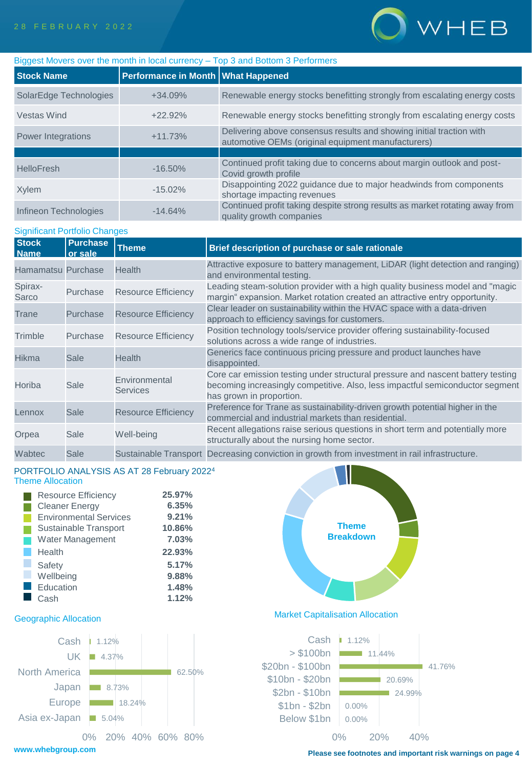

| Biggest Movers over the month in local currency - Top 3 and Bottom 3 Performers |                                    |                                                                                                                            |  |  |  |  |
|---------------------------------------------------------------------------------|------------------------------------|----------------------------------------------------------------------------------------------------------------------------|--|--|--|--|
| <b>Stock Name</b>                                                               | Performance in Month What Happened |                                                                                                                            |  |  |  |  |
| SolarEdge Technologies                                                          | $+34.09%$                          | Renewable energy stocks benefitting strongly from escalating energy costs                                                  |  |  |  |  |
| Vestas Wind                                                                     | $+22.92%$                          | Renewable energy stocks benefitting strongly from escalating energy costs                                                  |  |  |  |  |
| Power Integrations                                                              | $+11.73%$                          | Delivering above consensus results and showing initial traction with<br>automotive OEMs (original equipment manufacturers) |  |  |  |  |
|                                                                                 |                                    |                                                                                                                            |  |  |  |  |
| <b>HelloFresh</b>                                                               | $-16.50\%$                         | Continued profit taking due to concerns about margin outlook and post-<br>Covid growth profile                             |  |  |  |  |
| Xylem                                                                           | $-15.02\%$                         | Disappointing 2022 guidance due to major headwinds from components<br>shortage impacting revenues                          |  |  |  |  |
| Infineon Technologies                                                           | $-14.64%$                          | Continued profit taking despite strong results as market rotating away from<br>quality growth companies                    |  |  |  |  |

#### Significant Portfolio Changes

| <b>Stock</b><br><b>Name</b> | <b>Purchase</b><br>or sale | <b>Theme</b>                     | Brief description of purchase or sale rationale                                                                                                                                              |
|-----------------------------|----------------------------|----------------------------------|----------------------------------------------------------------------------------------------------------------------------------------------------------------------------------------------|
| Hamamatsu Purchase          |                            | <b>Health</b>                    | Attractive exposure to battery management, LiDAR (light detection and ranging)<br>and environmental testing.                                                                                 |
| Spirax-<br>Sarco            | Purchase                   | <b>Resource Efficiency</b>       | Leading steam-solution provider with a high quality business model and "magic<br>margin" expansion. Market rotation created an attractive entry opportunity.                                 |
| Trane                       | Purchase                   | <b>Resource Efficiency</b>       | Clear leader on sustainability within the HVAC space with a data-driven<br>approach to efficiency savings for customers.                                                                     |
| Trimble                     | Purchase                   | <b>Resource Efficiency</b>       | Position technology tools/service provider offering sustainability-focused<br>solutions across a wide range of industries.                                                                   |
| <b>Hikma</b>                | Sale                       | <b>Health</b>                    | Generics face continuous pricing pressure and product launches have<br>disappointed.                                                                                                         |
| Horiba                      | Sale                       | Environmental<br><b>Services</b> | Core car emission testing under structural pressure and nascent battery testing<br>becoming increasingly competitive. Also, less impactful semiconductor segment<br>has grown in proportion. |
| Lennox                      | <b>Sale</b>                | <b>Resource Efficiency</b>       | Preference for Trane as sustainability-driven growth potential higher in the<br>commercial and industrial markets than residential.                                                          |
| Orpea                       | Sale                       | Well-being                       | Recent allegations raise serious questions in short term and potentially more<br>structurally about the nursing home sector.                                                                 |
| Wabtec                      | Sale                       |                                  | Sustainable Transport Decreasing conviction in growth from investment in rail infrastructure.                                                                                                |

#### PORTFOLIO ANALYSIS AS AT 28 February 2022<sup>4</sup> Theme Allocation

| <b>Resource Efficiency</b>    | 25.97% |
|-------------------------------|--------|
| <b>Cleaner Energy</b>         | 6.35%  |
| <b>Environmental Services</b> | 9.21%  |
| Sustainable Transport         | 10.86% |
| <b>Water Management</b>       | 7.03%  |
| Health                        | 22.93% |
| Safety                        | 5.17%  |
| Wellbeing                     | 9.88%  |
| Education                     | 1.48%  |
| Cash                          | 1.12%  |





## Geographic Allocation Market Capitalisation Allocation



**Please see footnotes and important risk warnings on page 4**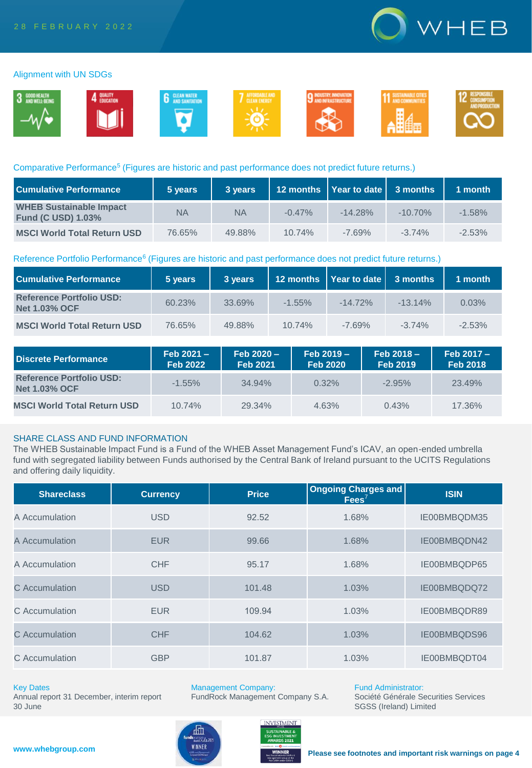

#### Alignment with UN SDGs



#### Comparative Performance<sup>5</sup> (Figures are historic and past performance does not predict future returns.)

| <b>Cumulative Performance</b>                               | 5 years | 3 years   |          | 12 months   Year to date   3 months |            | 1 month   |
|-------------------------------------------------------------|---------|-----------|----------|-------------------------------------|------------|-----------|
| <b>WHEB Sustainable Impact</b><br><b>Fund (C USD) 1.03%</b> | NA      | <b>NA</b> | $-0.47%$ | $-14.28\%$                          | $-10.70\%$ | $-1.58\%$ |
| <b>MSCI World Total Return USD</b>                          | 76.65%  | 49.88%    | 10.74%   | $-7.69%$                            | $-3.74%$   | $-2.53\%$ |

#### Reference Portfolio Performance<sup>6</sup> (Figures are historic and past performance does not predict future returns.)

| <b>Cumulative Performance</b>                           | 5 years | 3 years |           | 12 months   Year to date   3 months |            | 1 month  |
|---------------------------------------------------------|---------|---------|-----------|-------------------------------------|------------|----------|
| <b>Reference Portfolio USD:</b><br><b>Net 1.03% OCF</b> | 60.23%  | 33.69%  | $-1.55\%$ | $-14.72\%$                          | $-13.14\%$ | 0.03%    |
| <b>MSCI World Total Return USD</b>                      | 76.65%  | 49.88%  | 10.74%    | $-7.69%$                            | $-3.74%$   | $-2.53%$ |

| Discrete Performance                                    | $Feb 2021 -$<br><b>Feb 2022</b> | $Feb 2020 -$<br><b>Feb 2021</b> | $Feb 2019 -$<br><b>Feb 2020</b> | $Feb 2018 -$<br><b>Feb 2019</b> | $Feb 2017 -$<br><b>Feb 2018</b> |
|---------------------------------------------------------|---------------------------------|---------------------------------|---------------------------------|---------------------------------|---------------------------------|
| <b>Reference Portfolio USD:</b><br><b>Net 1.03% OCF</b> | $-1.55\%$                       | 34.94%                          | 0.32%                           | $-2.95\%$                       | 23.49%                          |
| <b>MSCI World Total Return USD</b>                      | 10.74%                          | 29.34%                          | 4.63%                           | 0.43%                           | 17.36%                          |

### SHARE CLASS AND FUND INFORMATION

The WHEB Sustainable Impact Fund is a Fund of the WHEB Asset Management Fund's ICAV, an open-ended umbrella fund with segregated liability between Funds authorised by the Central Bank of Ireland pursuant to the UCITS Regulations and offering daily liquidity.

| <b>Shareclass</b> | <b>Currency</b> | <b>Price</b> | Ongoing Charges and<br>$\text{Fees}^7$ | <b>ISIN</b>  |
|-------------------|-----------------|--------------|----------------------------------------|--------------|
| A Accumulation    | <b>USD</b>      | 92.52        | 1.68%                                  | IE00BMBQDM35 |
| A Accumulation    | <b>EUR</b>      | 99.66        | 1.68%                                  | IE00BMBQDN42 |
| A Accumulation    | <b>CHF</b>      | 95.17        | 1.68%                                  | IE00BMBQDP65 |
| C Accumulation    | <b>USD</b>      | 101.48       | 1.03%                                  | IE00BMBQDQ72 |
| C Accumulation    | <b>EUR</b>      | 109.94       | 1.03%                                  | IE00BMBQDR89 |
| C Accumulation    | <b>CHF</b>      | 104.62       | 1.03%                                  | IE00BMBQDS96 |
| C Accumulation    | <b>GBP</b>      | 101.87       | 1.03%                                  | IE00BMBQDT04 |

#### Key Dates

Annual report 31 December, interim report 30 June

Management Company: FundRock Management Company S.A.



Fund Administrator: Société Générale Securities Services SGSS (Ireland) Limited